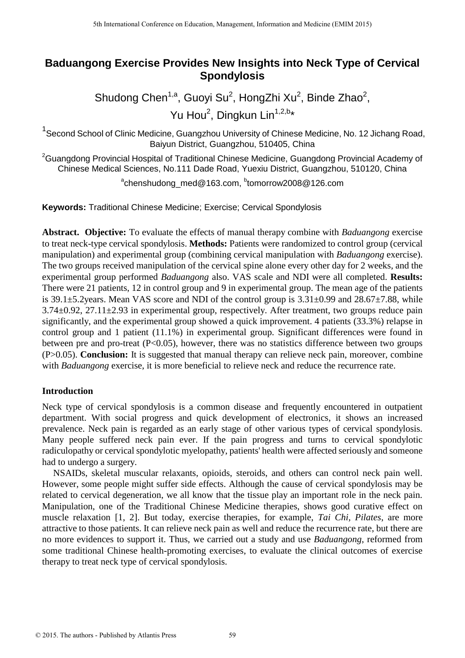# **Baduangong Exercise Provides New Insights into Neck Type of Cervical Spondylosis**

Shudong Chen<sup>1,a</sup>, Guoyi Su<sup>2</sup>, HongZhi Xu<sup>2</sup>, Binde Zhao<sup>2</sup>, Yu Hou<sup>2</sup>, Dingkun Lin<sup>1,2,b</sup>\*

<sup>1</sup> Second School of Clinic Medicine, Guangzhou University of Chinese Medicine, No. 12 Jichang Road, Baiyun District, Guangzhou, 510405, China

<sup>2</sup>Guangdong Provincial Hospital of Traditional Chinese Medicine, Guangdong Provincial Academy of Chinese Medical Sciences, No.111 Dade Road, Yuexiu District, Guangzhou, 510120, China

a chenshudong\_med@163.com, b tomorrow2008@126.com

**Keywords:** Traditional Chinese Medicine; Exercise; Cervical Spondylosis

**Abstract. Objective:** To evaluate the effects of manual therapy combine with *Baduangong* exercise to treat neck-type cervical spondylosis. **Methods:** Patients were randomized to control group (cervical manipulation) and experimental group (combining cervical manipulation with *Baduangong* exercise). The two groups received manipulation of the cervical spine alone every other day for 2 weeks, and the experimental group performed *Baduangong* also. VAS scale and NDI were all completed. **Results:**  There were 21 patients, 12 in control group and 9 in experimental group. The mean age of the patients is 39.1 $\pm$ 5.2years. Mean VAS score and NDI of the control group is 3.31 $\pm$ 0.99 and 28.67 $\pm$ 7.88, while 3.74±0.92, 27.11±2.93 in experimental group, respectively. After treatment, two groups reduce pain significantly, and the experimental group showed a quick improvement. 4 patients (33.3%) relapse in control group and 1 patient (11.1%) in experimental group. Significant differences were found in between pre and pro-treat  $(P<0.05)$ , however, there was no statistics difference between two groups (P>0.05). **Conclusion:** It is suggested that manual therapy can relieve neck pain, moreover, combine with *Baduangong* exercise, it is more beneficial to relieve neck and reduce the recurrence rate.

# **Introduction**

Neck type of cervical spondylosis is a common disease and frequently encountered in outpatient department. With social progress and quick development of electronics, it shows an increased prevalence. Neck pain is regarded as an early stage of other various types of cervical spondylosis. Many people suffered neck pain ever. If the pain progress and turns to cervical spondylotic radiculopathy or cervical spondylotic myelopathy, patients' health were affected seriously and someone had to undergo a surgery.

NSAIDs, skeletal muscular relaxants, opioids, steroids, and others can control neck pain well. However, some people might suffer side effects. Although the cause of cervical spondylosis may be related to cervical degeneration, we all know that the tissue play an important role in the neck pain. Manipulation, one of the Traditional Chinese Medicine therapies, shows good curative effect on muscle relaxation [1, 2]. But today, exercise therapies, for example, *Tai Chi, Pilates*, are more attractive to those patients. It can relieve neck pain as well and reduce the recurrence rate, but there are no more evidences to support it. Thus, we carried out a study and use *Baduangong*, reformed from some traditional Chinese health-promoting exercises, to evaluate the clinical outcomes of exercise therapy to treat neck type of cervical spondylosis.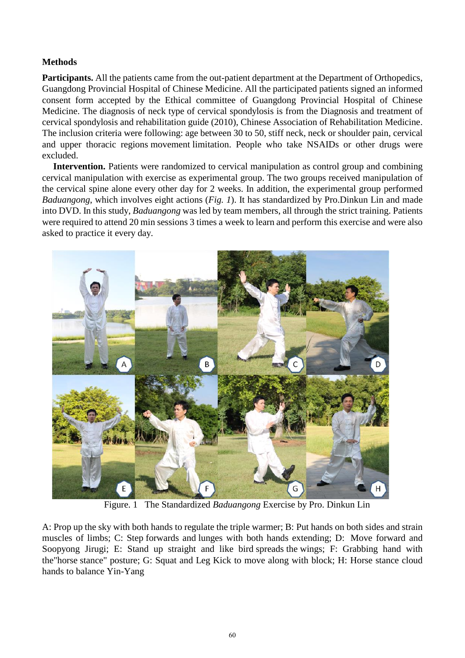# **Methods**

**Participants.** All the patients came from the out-patient department at the Department of Orthopedics, Guangdong Provincial Hospital of Chinese Medicine. All the participated patients signed an informed consent form accepted by the Ethical committee of Guangdong Provincial Hospital of Chinese Medicine. The diagnosis of neck type of cervical spondylosis is from the Diagnosis and treatment of cervical spondylosis and rehabilitation guide (2010), Chinese Association of Rehabilitation Medicine. The inclusion criteria were following: age between 30 to 50, stiff neck, neck or shoulder pain, cervical and upper thoracic regions movement limitation. People who take NSAIDs or other drugs were excluded.

**Intervention.** Patients were randomized to cervical manipulation as control group and combining cervical manipulation with exercise as experimental group. The two groups received manipulation of the cervical spine alone every other day for 2 weeks. In addition, the experimental group performed *Baduangong*, which involves eight actions (*Fig. 1*). It has standardized by Pro.Dinkun Lin and made into DVD. In this study, *Baduangong* was led by team members, all through the strict training. Patients were required to attend 20 min sessions 3 times a week to learn and perform this exercise and were also asked to practice it every day.



Figure. 1 The Standardized *Baduangong* Exercise by Pro. Dinkun Lin

A: Prop up the sky with both hands to regulate the triple warmer; B: Put hands on both sides and strain muscles of limbs; C: Step forwards and lunges with both hands extending; D: Move forward and Soopyong Jirugi; E: Stand up straight and like bird spreads the wings; F: Grabbing hand with the"horse stance" posture; G: Squat and Leg Kick to move along with block; H: Horse stance cloud hands to balance Yin-Yang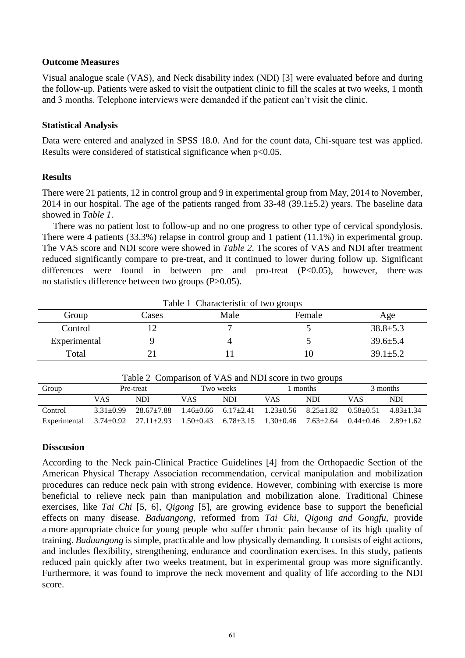### **Outcome Measures**

Visual analogue scale (VAS), and Neck disability index (NDI) [3] were evaluated before and during the follow-up. Patients were asked to visit the outpatient clinic to fill the scales at two weeks, 1 month and 3 months. Telephone interviews were demanded if the patient can't visit the clinic.

## **Statistical Analysis**

Data were entered and analyzed in SPSS 18.0. And for the count data, Chi-square test was applied. Results were considered of statistical significance when p<0.05.

## **Results**

There were 21 patients, 12 in control group and 9 in experimental group from May, 2014 to November, 2014 in our hospital. The age of the patients ranged from  $33-48$  (39.1 $\pm$ 5.2) years. The baseline data showed in *Table 1*.

There was no patient lost to follow-up and no one progress to other type of cervical spondylosis. There were 4 patients (33.3%) relapse in control group and 1 patient (11.1%) in experimental group. The VAS score and NDI score were showed in *Table 2*. The scores of VAS and NDI after treatment reduced significantly compare to pre-treat, and it continued to lower during follow up. Significant differences were found in between pre and pro-treat  $(P<0.05)$ , however, there was no statistics difference between two groups (P>0.05).

| Table 1 Characteristic of two groups |       |      |        |                |  |  |  |  |  |
|--------------------------------------|-------|------|--------|----------------|--|--|--|--|--|
| Group                                | Cases | Male | Female | Age            |  |  |  |  |  |
| Control                              |       |      |        | $38.8 \pm 5.3$ |  |  |  |  |  |
| Experimental                         |       |      |        | $39.6 \pm 5.4$ |  |  |  |  |  |
| Total                                |       |      | 10     | $39.1 + 5.2$   |  |  |  |  |  |

| Table 2 Comparison of VAS and NDI score in two groups |               |                                                                                                                                  |           |            |            |            |          |               |  |  |  |
|-------------------------------------------------------|---------------|----------------------------------------------------------------------------------------------------------------------------------|-----------|------------|------------|------------|----------|---------------|--|--|--|
| Group                                                 | Pre-treat     |                                                                                                                                  | Two weeks |            | 1 months   |            | 3 months |               |  |  |  |
|                                                       | VAS           | NDI                                                                                                                              | VAS       | <b>NDI</b> | <b>VAS</b> | <b>NDI</b> | VAS      | <b>NDI</b>    |  |  |  |
| Control                                               | $3.31 + 0.99$ | $28.67 + 7.88$ 1.46 + 0.66 6.17 + 2.41 1.23 + 0.56 8.25 + 1.82 0.58 + 0.51                                                       |           |            |            |            |          | $4.83 + 1.34$ |  |  |  |
| Experimental                                          |               | $3.74 \pm 0.92$ $27.11 \pm 2.93$ $1.50 \pm 0.43$ $6.78 \pm 3.15$ $1.30 \pm 0.46$ $7.63 \pm 2.64$ $0.44 \pm 0.46$ $2.89 \pm 1.62$ |           |            |            |            |          |               |  |  |  |

#### **Disscusion**

According to the Neck pain-Clinical Practice Guidelines [4] from the Orthopaedic Section of the American Physical Therapy Association recommendation, cervical manipulation and mobilization procedures can reduce neck pain with strong evidence. However, combining with exercise is more beneficial to relieve neck pain than manipulation and mobilization alone. Traditional Chinese exercises, like *Tai Chi* [5, 6], *Qigong* [5], are growing evidence base to support the beneficial effects on many disease. *Baduangong*, reformed from *Tai Chi, Qigong and Gongfu*, provide a more appropriate choice for young people who suffer chronic pain because of its high quality of training. *Baduangong* is simple, practicable and low physically demanding. It consists of eight actions, and includes flexibility, strengthening, endurance and coordination exercises. In this study, patients reduced pain quickly after two weeks treatment, but in experimental group was more significantly. Furthermore, it was found to improve the neck movement and quality of life according to the NDI score.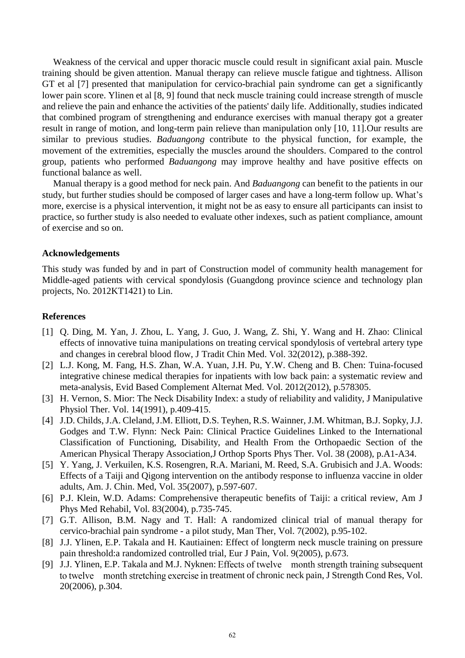Weakness of the cervical and upper thoracic muscle could result in significant axial pain. Muscle training should be given attention. Manual therapy can relieve muscle fatigue and tightness. Allison GT et al [7] presented that manipulation for cervico-brachial pain syndrome can get a significantly lower pain score. Ylinen et al [8, 9] found that neck muscle training could increase strength of muscle and relieve the pain and enhance the activities of the patients' daily life. Additionally, studies indicated that combined program of strengthening and endurance exercises with manual therapy got a greater result in range of motion, and long-term pain relieve than manipulation only [10, 11].Our results are similar to previous studies. *Baduangong* contribute to the physical function, for example, the movement of the extremities, especially the muscles around the shoulders. Compared to the control group, patients who performed *Baduangong* may improve healthy and have positive effects on functional balance as well.

Manual therapy is a good method for neck pain. And *Baduangong* can benefit to the patients in our study, but further studies should be composed of larger cases and have a long-term follow up. What's more, exercise is a physical intervention, it might not be as easy to ensure all participants can insist to practice, so further study is also needed to evaluate other indexes, such as patient compliance, amount of exercise and so on.

#### **Acknowledgements**

This study was funded by and in part of Construction model of community health management for Middle-aged patients with cervical spondylosis (Guangdong province science and technology plan projects, No. 2012KT1421) to Lin.

#### **References**

- [1] Q. Ding, M. Yan, J. Zhou, L. Yang, J. Guo, J. Wang, Z. Shi, Y. Wang and H. Zhao: Clinical effects of innovative tuina manipulations on treating cervical spondylosis of vertebral artery type and changes in cerebral blood flow, J Tradit Chin Med. Vol. 32(2012), p.388-392.
- [2] L.J. Kong, M. Fang, H.S. Zhan, W.A. Yuan, J.H. Pu, Y.W. Cheng and B. Chen: Tuina-focused integrative chinese medical therapies for inpatients with low back pain: a systematic review and meta-analysis, Evid Based Complement Alternat Med. Vol. 2012(2012), p.578305.
- [3] H. Vernon, S. Mior: The Neck Disability Index: a study of reliability and validity, J Manipulative Physiol Ther. Vol. 14(1991), p.409-415.
- [4] J.D. Childs, J.A. Cleland, J.M. Elliott, D.S. Teyhen, R.S. Wainner, J.M. Whitman, B.J. Sopky, J.J. Godges and T.W. Flynn: Neck Pain: Clinical Practice Guidelines Linked to the International Classification of Functioning, Disability, and Health From the Orthopaedic Section of the American Physical Therapy Association,J Orthop Sports Phys Ther. Vol. 38 (2008), p.A1-A34.
- [5] Y. Yang, J. Verkuilen, K.S. Rosengren, R.A. Mariani, M. Reed, S.A. Grubisich and J.A. Woods: Effects of a Taiji and Qigong intervention on the antibody response to influenza vaccine in older adults, Am. J. Chin. Med, Vol. 35(2007), p.597-607.
- [6] P.J. Klein, W.D. Adams: Comprehensive therapeutic benefits of Taiji: a critical review, Am J Phys Med Rehabil, Vol. 83(2004), p.735-745.
- [7] G.T. Allison, B.M. Nagy and T. Hall: A randomized clinical trial of manual therapy for cervico-brachial pain syndrome - a pilot study, Man Ther, Vol. 7(2002), p.95-102.
- [8] J.J. Ylinen, E.P. Takala and H. Kautiainen: Effect of longterm neck muscle training on pressure pain threshold:a randomized controlled trial, Eur J Pain, Vol. 9(2005), p.673.
- [9] J.J. Ylinen, E.P. Takala and M.J. Nyknen: Effects of twelve month strength training subsequent to twelve month stretching exercise in treatment of chronic neck pain, J Strength Cond Res, Vol. 20(2006), p.304.